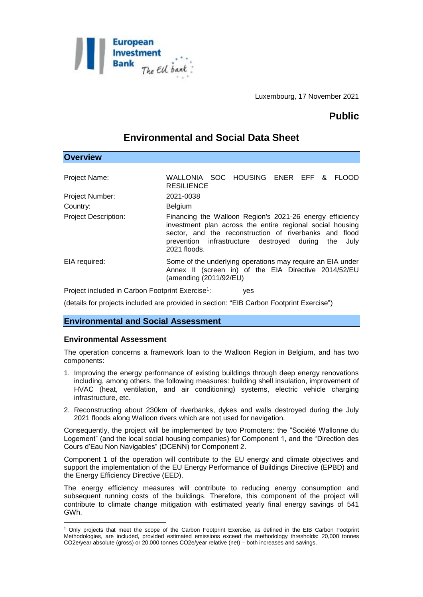

Luxembourg, 17 November 2021

# **Public**

# **Environmental and Social Data Sheet**

| <b>Overview</b>                                              |                                                                                                                                                                                                                                                           |
|--------------------------------------------------------------|-----------------------------------------------------------------------------------------------------------------------------------------------------------------------------------------------------------------------------------------------------------|
| Project Name:                                                | WALLONIA SOC HOUSING ENER EFF & FLOOD<br><b>RESILIENCE</b>                                                                                                                                                                                                |
| <b>Project Number:</b>                                       | 2021-0038                                                                                                                                                                                                                                                 |
| Country:                                                     | Belgium                                                                                                                                                                                                                                                   |
| <b>Project Description:</b>                                  | Financing the Walloon Region's 2021-26 energy efficiency<br>investment plan across the entire regional social housing<br>sector, and the reconstruction of riverbanks and flood<br>prevention infrastructure destroyed during the<br>July<br>2021 floods. |
| EIA required:                                                | Some of the underlying operations may require an EIA under<br>Annex II (screen in) of the EIA Directive 2014/52/EU<br>(amending (2011/92/EU)                                                                                                              |
| Project included in Carbon Footprint Exercise <sup>1</sup> : | yes                                                                                                                                                                                                                                                       |

(details for projects included are provided in section: "EIB Carbon Footprint Exercise")

## **Environmental and Social Assessment**

### **Environmental Assessment**

<u>.</u>

The operation concerns a framework loan to the Walloon Region in Belgium, and has two components:

- 1. Improving the energy performance of existing buildings through deep energy renovations including, among others, the following measures: building shell insulation, improvement of HVAC (heat, ventilation, and air conditioning) systems, electric vehicle charging infrastructure, etc.
- 2. Reconstructing about 230km of riverbanks, dykes and walls destroyed during the July 2021 floods along Walloon rivers which are not used for navigation.

Consequently, the project will be implemented by two Promoters: the "Société Wallonne du Logement" (and the local social housing companies) for Component 1, and the "Direction des Cours d'Eau Non Navigables" (DCENN) for Component 2.

Component 1 of the operation will contribute to the EU energy and climate objectives and support the implementation of the EU Energy Performance of Buildings Directive (EPBD) and the Energy Efficiency Directive (EED).

The energy efficiency measures will contribute to reducing energy consumption and subsequent running costs of the buildings. Therefore, this component of the project will contribute to climate change mitigation with estimated yearly final energy savings of 541 GWh.

<sup>1</sup> Only projects that meet the scope of the Carbon Footprint Exercise, as defined in the EIB Carbon Footprint Methodologies, are included, provided estimated emissions exceed the methodology thresholds: 20,000 tonnes CO2e/year absolute (gross) or 20,000 tonnes CO2e/year relative (net) – both increases and savings.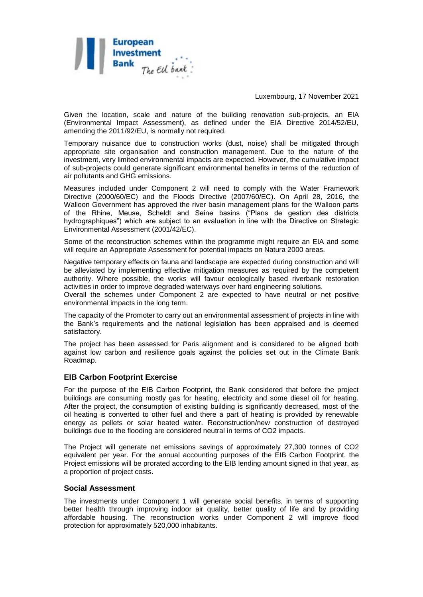

Luxembourg, 17 November 2021

Given the location, scale and nature of the building renovation sub-projects, an EIA (Environmental Impact Assessment), as defined under the EIA Directive 2014/52/EU, amending the 2011/92/EU, is normally not required.

Temporary nuisance due to construction works (dust, noise) shall be mitigated through appropriate site organisation and construction management. Due to the nature of the investment, very limited environmental impacts are expected. However, the cumulative impact of sub-projects could generate significant environmental benefits in terms of the reduction of air pollutants and GHG emissions.

Measures included under Component 2 will need to comply with the Water Framework Directive (2000/60/EC) and the Floods Directive (2007/60/EC). On April 28, 2016, the Walloon Government has approved the river basin management plans for the Walloon parts of the Rhine, Meuse, Scheldt and Seine basins ("Plans de gestion des districts hydrographiques") which are subject to an evaluation in line with the Directive on Strategic Environmental Assessment (2001/42/EC).

Some of the reconstruction schemes within the programme might require an EIA and some will require an Appropriate Assessment for potential impacts on Natura 2000 areas.

Negative temporary effects on fauna and landscape are expected during construction and will be alleviated by implementing effective mitigation measures as required by the competent authority. Where possible, the works will favour ecologically based riverbank restoration activities in order to improve degraded waterways over hard engineering solutions.

Overall the schemes under Component 2 are expected to have neutral or net positive environmental impacts in the long term.

The capacity of the Promoter to carry out an environmental assessment of projects in line with the Bank's requirements and the national legislation has been appraised and is deemed satisfactory.

The project has been assessed for Paris alignment and is considered to be aligned both against low carbon and resilience goals against the policies set out in the Climate Bank Roadmap.

#### **EIB Carbon Footprint Exercise**

For the purpose of the EIB Carbon Footprint, the Bank considered that before the project buildings are consuming mostly gas for heating, electricity and some diesel oil for heating. After the project, the consumption of existing building is significantly decreased, most of the oil heating is converted to other fuel and there a part of heating is provided by renewable energy as pellets or solar heated water. Reconstruction/new construction of destroyed buildings due to the flooding are considered neutral in terms of CO2 impacts.

The Project will generate net emissions savings of approximately 27,300 tonnes of CO2 equivalent per year. For the annual accounting purposes of the EIB Carbon Footprint, the Project emissions will be prorated according to the EIB lending amount signed in that year, as a proportion of project costs.

### **Social Assessment**

The investments under Component 1 will generate social benefits, in terms of supporting better health through improving indoor air quality, better quality of life and by providing affordable housing. The reconstruction works under Component 2 will improve flood protection for approximately 520,000 inhabitants.